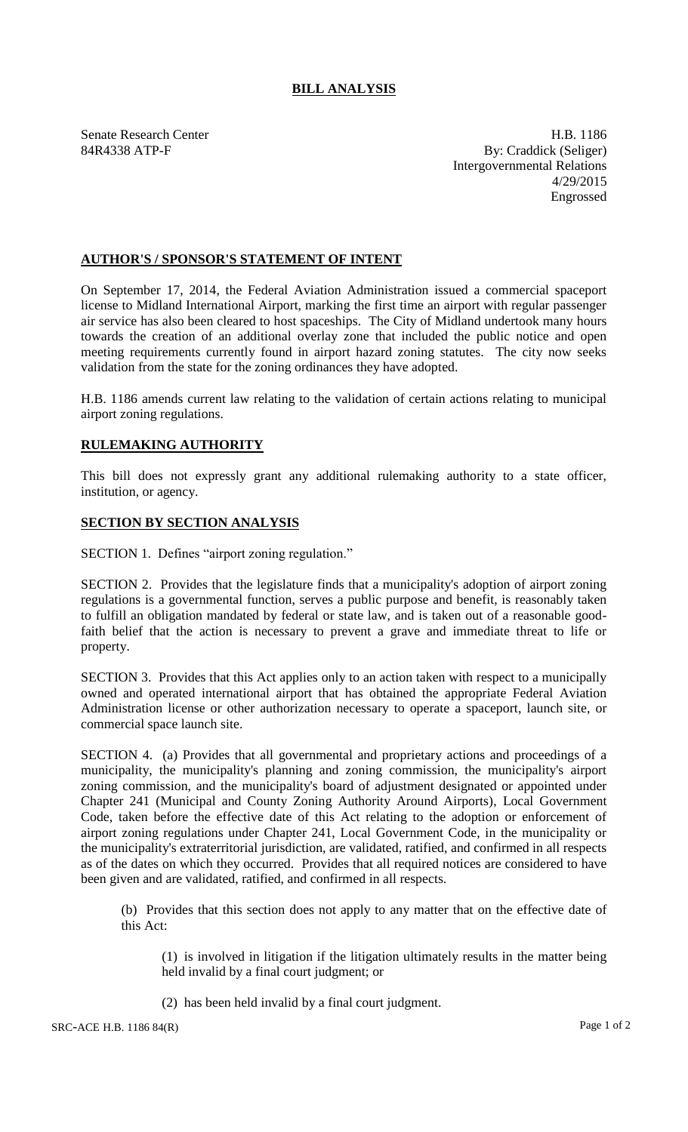## **BILL ANALYSIS**

Senate Research Center **H.B. 1186** 84R4338 ATP-F By: Craddick (Seliger) Intergovernmental Relations 4/29/2015 Engrossed

## **AUTHOR'S / SPONSOR'S STATEMENT OF INTENT**

On September 17, 2014, the Federal Aviation Administration issued a commercial spaceport license to Midland International Airport, marking the first time an airport with regular passenger air service has also been cleared to host spaceships. The City of Midland undertook many hours towards the creation of an additional overlay zone that included the public notice and open meeting requirements currently found in airport hazard zoning statutes. The city now seeks validation from the state for the zoning ordinances they have adopted.

H.B. 1186 amends current law relating to the validation of certain actions relating to municipal airport zoning regulations.

## **RULEMAKING AUTHORITY**

This bill does not expressly grant any additional rulemaking authority to a state officer, institution, or agency.

## **SECTION BY SECTION ANALYSIS**

SECTION 1. Defines "airport zoning regulation."

SECTION 2. Provides that the legislature finds that a municipality's adoption of airport zoning regulations is a governmental function, serves a public purpose and benefit, is reasonably taken to fulfill an obligation mandated by federal or state law, and is taken out of a reasonable goodfaith belief that the action is necessary to prevent a grave and immediate threat to life or property.

SECTION 3. Provides that this Act applies only to an action taken with respect to a municipally owned and operated international airport that has obtained the appropriate Federal Aviation Administration license or other authorization necessary to operate a spaceport, launch site, or commercial space launch site.

SECTION 4. (a) Provides that all governmental and proprietary actions and proceedings of a municipality, the municipality's planning and zoning commission, the municipality's airport zoning commission, and the municipality's board of adjustment designated or appointed under Chapter 241 (Municipal and County Zoning Authority Around Airports), Local Government Code, taken before the effective date of this Act relating to the adoption or enforcement of airport zoning regulations under Chapter 241, Local Government Code, in the municipality or the municipality's extraterritorial jurisdiction, are validated, ratified, and confirmed in all respects as of the dates on which they occurred. Provides that all required notices are considered to have been given and are validated, ratified, and confirmed in all respects.

(b) Provides that this section does not apply to any matter that on the effective date of this Act:

(1) is involved in litigation if the litigation ultimately results in the matter being held invalid by a final court judgment; or

(2) has been held invalid by a final court judgment.